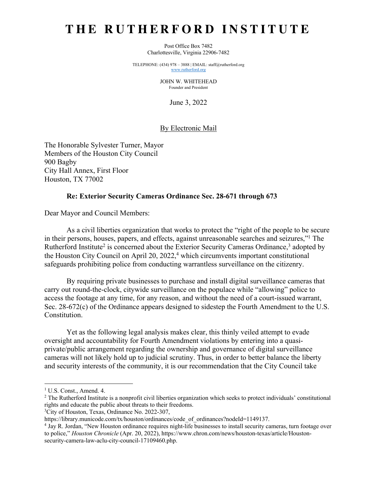# **THE RUTHERFORD INSTITUTE**

Post Office Box 7482 Charlottesville, Virginia 22906-7482

TELEPHONE: (434) 978 – 3888 | EMAIL: staff@rutherford.org www.rutherford.org

> JOHN W. WHITEHEAD Founder and President

> > June 3, 2022

## By Electronic Mail

The Honorable Sylvester Turner, Mayor Members of the Houston City Council 900 Bagby City Hall Annex, First Floor Houston, TX 77002

#### **Re: Exterior Security Cameras Ordinance Sec. 28-671 through 673**

Dear Mayor and Council Members:

As a civil liberties organization that works to protect the "right of the people to be secure in their persons, houses, papers, and effects, against unreasonable searches and seizures,"1 The Rutherford Institute<sup>2</sup> is concerned about the Exterior Security Cameras Ordinance,<sup>3</sup> adopted by the Houston City Council on April 20,  $2022<sup>4</sup>$  which circumvents important constitutional safeguards prohibiting police from conducting warrantless surveillance on the citizenry.

By requiring private businesses to purchase and install digital surveillance cameras that carry out round-the-clock, citywide surveillance on the populace while "allowing" police to access the footage at any time, for any reason, and without the need of a court-issued warrant, Sec. 28-672(c) of the Ordinance appears designed to sidestep the Fourth Amendment to the U.S. Constitution.

Yet as the following legal analysis makes clear, this thinly veiled attempt to evade oversight and accountability for Fourth Amendment violations by entering into a quasiprivate/public arrangement regarding the ownership and governance of digital surveillance cameras will not likely hold up to judicial scrutiny. Thus, in order to better balance the liberty and security interests of the community, it is our recommendation that the City Council take

<sup>1</sup> U.S. Const., Amend. 4.

<sup>&</sup>lt;sup>2</sup> The Rutherford Institute is a nonprofit civil liberties organization which seeks to protect individuals' constitutional rights and educate the public about threats to their freedoms.

<sup>&</sup>lt;sup>3</sup>City of Houston, Texas, Ordinance No. 2022-307,

https://library.municode.com/tx/houston/ordinances/code\_of\_ordinances?nodeId=1149137.

<sup>4</sup> Jay R. Jordan, "New Houston ordinance requires night-life businesses to install security cameras, turn footage over to police," *Houston Chronicle* (Apr. 20, 2022), https://www.chron.com/news/houston-texas/article/Houstonsecurity-camera-law-aclu-city-council-17109460.php.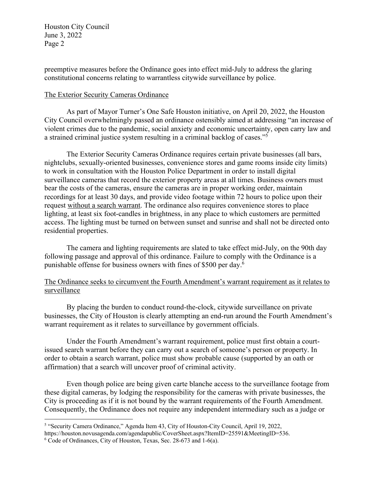preemptive measures before the Ordinance goes into effect mid-July to address the glaring constitutional concerns relating to warrantless citywide surveillance by police.

## The Exterior Security Cameras Ordinance

As part of Mayor Turner's One Safe Houston initiative, on April 20, 2022, the Houston City Council overwhelmingly passed an ordinance ostensibly aimed at addressing "an increase of violent crimes due to the pandemic, social anxiety and economic uncertainty, open carry law and a strained criminal justice system resulting in a criminal backlog of cases."5

The Exterior Security Cameras Ordinance requires certain private businesses (all bars, nightclubs, sexually-oriented businesses, convenience stores and game rooms inside city limits) to work in consultation with the Houston Police Department in order to install digital surveillance cameras that record the exterior property areas at all times. Business owners must bear the costs of the cameras, ensure the cameras are in proper working order, maintain recordings for at least 30 days, and provide video footage within 72 hours to police upon their request without a search warrant. The ordinance also requires convenience stores to place lighting, at least six foot-candles in brightness, in any place to which customers are permitted access. The lighting must be turned on between sunset and sunrise and shall not be directed onto residential properties.

The camera and lighting requirements are slated to take effect mid-July, on the 90th day following passage and approval of this ordinance. Failure to comply with the Ordinance is a punishable offense for business owners with fines of \$500 per day.6

# The Ordinance seeks to circumvent the Fourth Amendment's warrant requirement as it relates to surveillance

By placing the burden to conduct round-the-clock, citywide surveillance on private businesses, the City of Houston is clearly attempting an end-run around the Fourth Amendment's warrant requirement as it relates to surveillance by government officials.

Under the Fourth Amendment's warrant requirement, police must first obtain a courtissued search warrant before they can carry out a search of someone's person or property. In order to obtain a search warrant, police must show probable cause (supported by an oath or affirmation) that a search will uncover proof of criminal activity.

Even though police are being given carte blanche access to the surveillance footage from these digital cameras, by lodging the responsibility for the cameras with private businesses, the City is proceeding as if it is not bound by the warrant requirements of the Fourth Amendment. Consequently, the Ordinance does not require any independent intermediary such as a judge or

<sup>5</sup> "Security Camera Ordinance," Agenda Item 43, City of Houston-City Council, April 19, 2022,

https://houston.novusagenda.com/agendapublic/CoverSheet.aspx?ItemID=25591&MeetingID=536.

<sup>6</sup> Code of Ordinances, City of Houston, Texas, Sec. 28-673 and 1-6(a).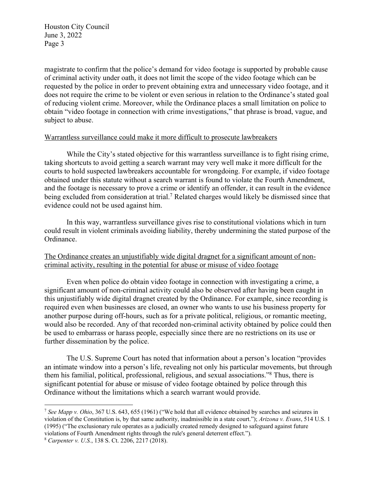magistrate to confirm that the police's demand for video footage is supported by probable cause of criminal activity under oath, it does not limit the scope of the video footage which can be requested by the police in order to prevent obtaining extra and unnecessary video footage, and it does not require the crime to be violent or even serious in relation to the Ordinance's stated goal of reducing violent crime. Moreover, while the Ordinance places a small limitation on police to obtain "video footage in connection with crime investigations," that phrase is broad, vague, and subject to abuse.

#### Warrantless surveillance could make it more difficult to prosecute lawbreakers

While the City's stated objective for this warrantless surveillance is to fight rising crime, taking shortcuts to avoid getting a search warrant may very well make it more difficult for the courts to hold suspected lawbreakers accountable for wrongdoing. For example, if video footage obtained under this statute without a search warrant is found to violate the Fourth Amendment, and the footage is necessary to prove a crime or identify an offender, it can result in the evidence being excluded from consideration at trial.<sup>7</sup> Related charges would likely be dismissed since that evidence could not be used against him.

In this way, warrantless surveillance gives rise to constitutional violations which in turn could result in violent criminals avoiding liability, thereby undermining the stated purpose of the Ordinance.

## The Ordinance creates an unjustifiably wide digital dragnet for a significant amount of noncriminal activity, resulting in the potential for abuse or misuse of video footage

Even when police do obtain video footage in connection with investigating a crime, a significant amount of non-criminal activity could also be observed after having been caught in this unjustifiably wide digital dragnet created by the Ordinance. For example, since recording is required even when businesses are closed, an owner who wants to use his business property for another purpose during off-hours, such as for a private political, religious, or romantic meeting, would also be recorded. Any of that recorded non-criminal activity obtained by police could then be used to embarrass or harass people, especially since there are no restrictions on its use or further dissemination by the police.

The U.S. Supreme Court has noted that information about a person's location "provides an intimate window into a person's life, revealing not only his particular movements, but through them his familial, political, professional, religious, and sexual associations."8 Thus, there is significant potential for abuse or misuse of video footage obtained by police through this Ordinance without the limitations which a search warrant would provide.

<sup>7</sup> *See Mapp v. Ohio*, 367 U.S. 643, 655 (1961) ("We hold that all evidence obtained by searches and seizures in violation of the Constitution is, by that same authority, inadmissible in a state court."); *Arizona v. Evans*, 514 U.S. 1 (1995) ("The exclusionary rule operates as a judicially created remedy designed to safeguard against future violations of Fourth Amendment rights through the rule's general deterrent effect.").

<sup>8</sup> *Carpenter v. U.S.*, 138 S. Ct. 2206, 2217 (2018).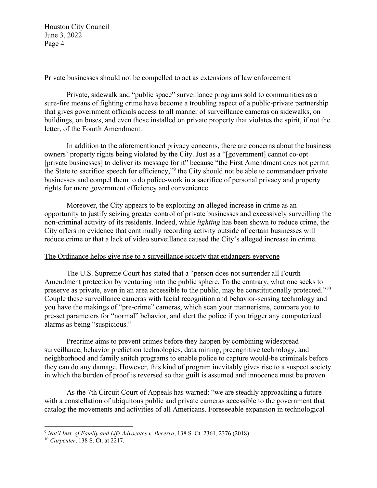#### Private businesses should not be compelled to act as extensions of law enforcement

Private, sidewalk and "public space" surveillance programs sold to communities as a sure-fire means of fighting crime have become a troubling aspect of a public-private partnership that gives government officials access to all manner of surveillance cameras on sidewalks, on buildings, on buses, and even those installed on private property that violates the spirit, if not the letter, of the Fourth Amendment.

In addition to the aforementioned privacy concerns, there are concerns about the business owners' property rights being violated by the City. Just as a "[government] cannot co-opt [private businesses] to deliver its message for it" because "the First Amendment does not permit the State to sacrifice speech for efficiency,"9 the City should not be able to commandeer private businesses and compel them to do police-work in a sacrifice of personal privacy and property rights for mere government efficiency and convenience.

Moreover, the City appears to be exploiting an alleged increase in crime as an opportunity to justify seizing greater control of private businesses and excessively surveilling the non-criminal activity of its residents. Indeed, while *lighting* has been shown to reduce crime, the City offers no evidence that continually recording activity outside of certain businesses will reduce crime or that a lack of video surveillance caused the City's alleged increase in crime.

#### The Ordinance helps give rise to a surveillance society that endangers everyone

The U.S. Supreme Court has stated that a "person does not surrender all Fourth Amendment protection by venturing into the public sphere. To the contrary, what one seeks to preserve as private, even in an area accessible to the public, may be constitutionally protected."10 Couple these surveillance cameras with facial recognition and behavior-sensing technology and you have the makings of "pre-crime" cameras, which scan your mannerisms, compare you to pre-set parameters for "normal" behavior, and alert the police if you trigger any computerized alarms as being "suspicious."

Precrime aims to prevent crimes before they happen by combining widespread surveillance, behavior prediction technologies, data mining, precognitive technology, and neighborhood and family snitch programs to enable police to capture would-be criminals before they can do any damage. However, this kind of program inevitably gives rise to a suspect society in which the burden of proof is reversed so that guilt is assumed and innocence must be proven.

As the 7th Circuit Court of Appeals has warned: "we are steadily approaching a future with a constellation of ubiquitous public and private cameras accessible to the government that catalog the movements and activities of all Americans. Foreseeable expansion in technological

<sup>9</sup> *Nat'l Inst. of Family and Life Advocates v. Becerra*, 138 S. Ct. 2361, 2376 (2018).

<sup>10</sup> *Carpenter*, 138 S. Ct. at 2217.